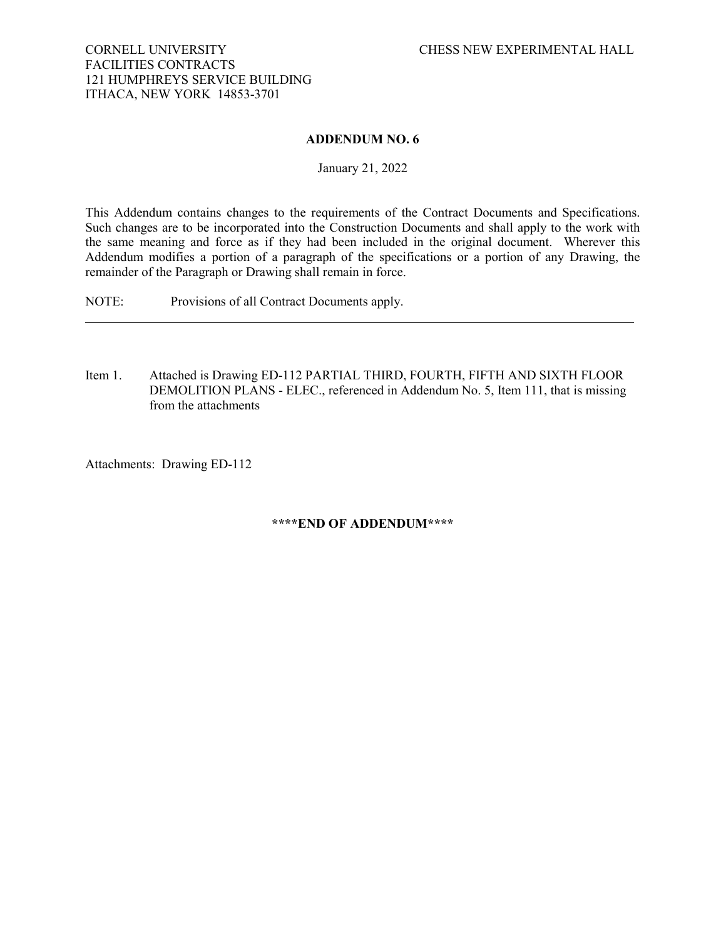## CORNELL UNIVERSITY CHESS NEW EXPERIMENTAL HALL FACILITIES CONTRACTS 121 HUMPHREYS SERVICE BUILDING ITHACA, NEW YORK 14853-3701

## **ADDENDUM NO. 6**

January 21, 2022

This Addendum contains changes to the requirements of the Contract Documents and Specifications. Such changes are to be incorporated into the Construction Documents and shall apply to the work with the same meaning and force as if they had been included in the original document. Wherever this Addendum modifies a portion of a paragraph of the specifications or a portion of any Drawing, the remainder of the Paragraph or Drawing shall remain in force.

NOTE: Provisions of all Contract Documents apply.

Item 1. Attached is Drawing ED-112 PARTIAL THIRD, FOURTH, FIFTH AND SIXTH FLOOR DEMOLITION PLANS - ELEC., referenced in Addendum No. 5, Item 111, that is missing from the attachments

Attachments: Drawing ED-112

## **\*\*\*\*END OF ADDENDUM\*\*\*\***